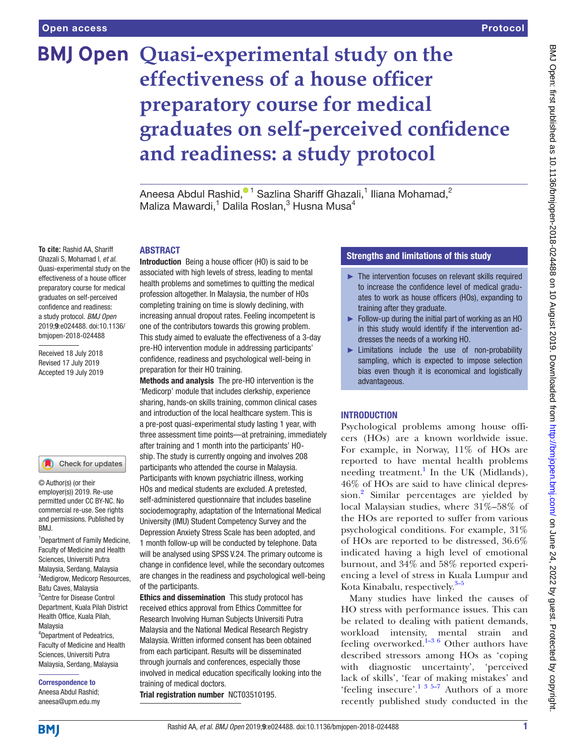# **BMJ Open Quasi-experimental study on the effectiveness of a house officer preparatory course for medical graduates on self-perceived confidence and readiness: a study protocol**

Aneesa Abdul Rashid[,](http://orcid.org/0000-0002-7944-1364) $^{\textcircled{\texttt{1}}}$  Sazlina Shariff Ghazali, $^1$  Iliana Mohamad, $^2$ Maliza Mawardi,<sup>1</sup> Dalila Roslan,<sup>3</sup> Husna Musa<sup>4</sup>

#### **ABSTRACT**

**To cite:** Rashid AA, Shariff Ghazali S, Mohamad I, *et al*. Quasi-experimental study on the effectiveness of a house officer preparatory course for medical graduates on self-perceived confidence and readiness: a study protocol. *BMJ Open* 2019;9:e024488. doi:10.1136/ bmjopen-2018-024488

Received 18 July 2018 Revised 17 July 2019 Accepted 19 July 2019

#### Check for updates

© Author(s) (or their employer(s)) 2019. Re-use permitted under CC BY-NC. No commercial re-use. See rights and permissions. Published by BMJ.

1 Department of Family Medicine, Faculty of Medicine and Health Sciences, Universiti Putra Malaysia, Serdang, Malaysia <sup>2</sup>Medigrow, Medicorp Resources, Batu Caves, Malaysia 3 Centre for Disease Control Department, Kuala Pilah District Health Office, Kuala Pilah, Malaysia 4 Department of Pedeatrics, Faculty of Medicine and Health Sciences, Universiti Putra Malaysia, Serdang, Malaysia

Correspondence to Aneesa Abdul Rashid; aneesa@upm.edu.my

Introduction Being a house officer (HO) is said to be associated with high levels of stress, leading to mental health problems and sometimes to quitting the medical profession altogether. In Malaysia, the number of HOs completing training on time is slowly declining, with increasing annual dropout rates. Feeling incompetent is one of the contributors towards this growing problem. This study aimed to evaluate the effectiveness of a 3-day pre-HO intervention module in addressing participants' confidence, readiness and psychological well-being in preparation for their HO training.

Methods and analysis The pre-HO intervention is the 'Medicorp' module that includes clerkship, experience sharing, hands-on skills training, common clinical cases and introduction of the local healthcare system. This is a pre-post quasi-experimental study lasting 1 year, with three assessment time points—at pretraining, immediately after training and 1 month into the participants' HOship. The study is currently ongoing and involves 208 participants who attended the course in Malaysia. Participants with known psychiatric illness, working HOs and medical students are excluded. A pretested, self-administered questionnaire that includes baseline sociodemography, adaptation of the International Medical University (IMU) Student Competency Survey and the Depression Anxiety Stress Scale has been adopted, and 1 month follow-up will be conducted by telephone. Data will be analysed using SPSS V.24. The primary outcome is change in confidence level, while the secondary outcomes are changes in the readiness and psychological well-being of the participants.

Ethics and dissemination This study protocol has received ethics approval from Ethics Committee for Research Involving Human Subjects Universiti Putra Malaysia and the National Medical Research Registry Malaysia. Written informed consent has been obtained from each participant. Results will be disseminated through journals and conferences, especially those involved in medical education specifically looking into the training of medical doctors. Trial registration number <NCT03510195>.

## Strengths and limitations of this study

- ► The intervention focuses on relevant skills required to increase the confidence level of medical graduates to work as house officers (HOs), expanding to training after they graduate.
- ► Follow-up during the initial part of working as an HO in this study would identify if the intervention addresses the needs of a working HO.
- ► Limitations include the use of non-probability sampling, which is expected to impose selection bias even though it is economical and logistically advantageous.

## **INTRODUCTION**

Psychological problems among house officers (HOs) are a known worldwide issue. For example, in Norway, 11% of HOs are reported to have mental health problems needing treatment.<sup>1</sup> In the UK (Midlands), 46% of HOs are said to have clinical depres-sion.<sup>[2](#page-5-1)</sup> Similar percentages are yielded by local Malaysian studies, where 31%–58% of the HOs are reported to suffer from various psychological conditions. For example, 31% of HOs are reported to be distressed, 36.6% indicated having a high level of emotional burnout, and 34% and 58% reported experiencing a level of stress in Kuala Lumpur and Kota Kinabalu, respectively.<sup>[3–5](#page-5-2)</sup>

Many studies have linked the causes of HO stress with performance issues. This can be related to dealing with patient demands, workload intensity, mental strain and feeling overworked. $1-36$  Other authors have described stressors among HOs as 'coping with diagnostic uncertainty', 'perceived lack of skills', 'fear of making mistakes' and 'feeling insecure'.<sup>1 3 5–7</sup> Authors of a more recently published study conducted in the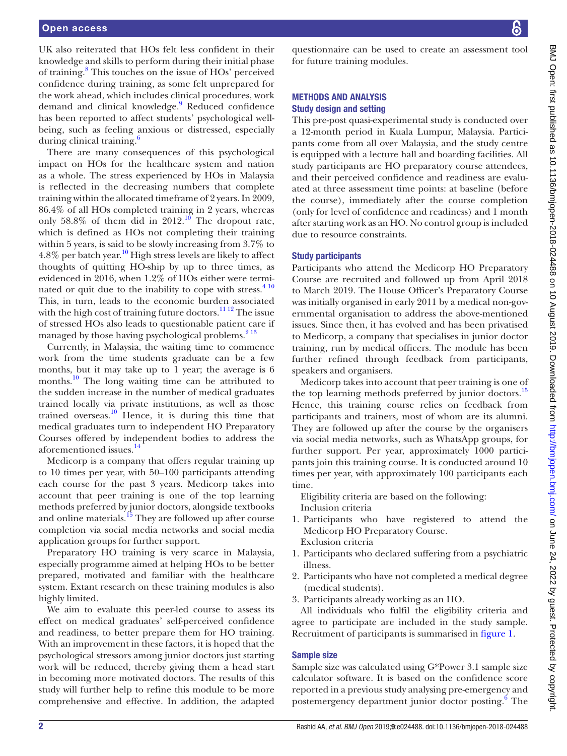UK also reiterated that HOs felt less confident in their knowledge and skills to perform during their initial phase of training.<sup>8</sup> This touches on the issue of HOs' perceived confidence during training, as some felt unprepared for the work ahead, which includes clinical procedures, work demand and clinical knowledge.<sup>9</sup> Reduced confidence has been reported to affect students' psychological wellbeing, such as feeling anxious or distressed, especially during clinical training.<sup>[6](#page-5-5)</sup>

There are many consequences of this psychological impact on HOs for the healthcare system and nation as a whole. The stress experienced by HOs in Malaysia is reflected in the decreasing numbers that complete training within the allocated timeframe of 2 years. In 2009, 86.4% of all HOs completed training in 2 years, whereas only  $58.8\%$  of them did in  $2012$ .<sup>10</sup> The dropout rate, which is defined as HOs not completing their training within 5 years, is said to be slowly increasing from 3.7% to  $4.8\%$  per batch year.<sup>10</sup> High stress levels are likely to affect thoughts of quitting HO-ship by up to three times, as evidenced in 2016, when 1.2% of HOs either were terminated or quit due to the inability to cope with stress. $410$ This, in turn, leads to the economic burden associated with the high cost of training future doctors.<sup>11 12</sup> The issue of stressed HOs also leads to questionable patient care if managed by those having psychological problems.<sup>[2 13](#page-5-1)</sup>

Currently, in Malaysia, the waiting time to commence work from the time students graduate can be a few months, but it may take up to 1 year; the average is 6 months.<sup>10</sup> The long waiting time can be attributed to the sudden increase in the number of medical graduates trained locally via private institutions, as well as those trained overseas. $\frac{10}{10}$  Hence, it is during this time that medical graduates turn to independent HO Preparatory Courses offered by independent bodies to address the aforementioned issues.<sup>[14](#page-5-9)</sup>

Medicorp is a company that offers regular training up to 10 times per year, with 50–100 participants attending each course for the past 3 years. Medicorp takes into account that peer training is one of the top learning methods preferred by junior doctors, alongside textbooks and online materials.<sup>15</sup> They are followed up after course completion via social media networks and social media application groups for further support.

Preparatory HO training is very scarce in Malaysia, especially programme aimed at helping HOs to be better prepared, motivated and familiar with the healthcare system. Extant research on these training modules is also highly limited.

We aim to evaluate this peer-led course to assess its effect on medical graduates' self-perceived confidence and readiness, to better prepare them for HO training. With an improvement in these factors, it is hoped that the psychological stressors among junior doctors just starting work will be reduced, thereby giving them a head start in becoming more motivated doctors. The results of this study will further help to refine this module to be more comprehensive and effective. In addition, the adapted

questionnaire can be used to create an assessment tool for future training modules.

## Methods and analysis Study design and setting

This pre-post quasi-experimental study is conducted over a 12-month period in Kuala Lumpur, Malaysia. Participants come from all over Malaysia, and the study centre is equipped with a lecture hall and boarding facilities. All study participants are HO preparatory course attendees, and their perceived confidence and readiness are evaluated at three assessment time points: at baseline (before the course), immediately after the course completion (only for level of confidence and readiness) and 1 month after starting work as an HO. No control group is included due to resource constraints.

## Study participants

Participants who attend the Medicorp HO Preparatory Course are recruited and followed up from April 2018 to March 2019. The House Officer's Preparatory Course was initially organised in early 2011 by a medical non-governmental organisation to address the above-mentioned issues. Since then, it has evolved and has been privatised to Medicorp, a company that specialises in junior doctor training, run by medical officers. The module has been further refined through feedback from participants, speakers and organisers.

Medicorp takes into account that peer training is one of the top learning methods preferred by junior doctors.<sup>[15](#page-5-10)</sup> Hence, this training course relies on feedback from participants and trainers, most of whom are its alumni. They are followed up after the course by the organisers via social media networks, such as WhatsApp groups, for further support. Per year, approximately 1000 participants join this training course. It is conducted around 10 times per year, with approximately 100 participants each time.

Eligibility criteria are based on the following: Inclusion criteria

- 1. Participants who have registered to attend the Medicorp HO Preparatory Course. Exclusion criteria
- 1. Participants who declared suffering from a psychiatric illness.
- 2. Participants who have not completed a medical degree (medical students).
- 3. Participants already working as an HO.

All individuals who fulfil the eligibility criteria and agree to participate are included in the study sample. Recruitment of participants is summarised in [figure](#page-2-0) 1.

## Sample size

Sample size was calculated using G\*Power 3.1 sample size calculator software. It is based on the confidence score reported in a previous study analysing pre-emergency and postemergency department junior doctor posting.<sup>[6](#page-5-5)</sup> The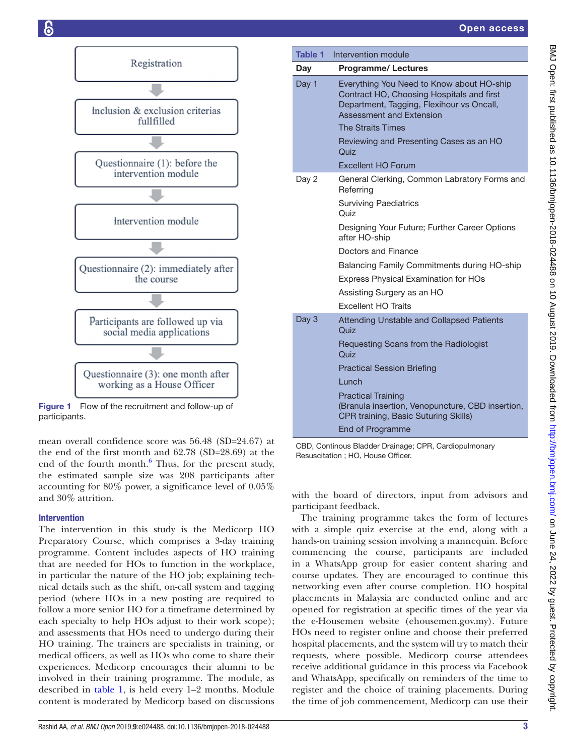

<span id="page-2-0"></span>Figure 1 Flow of the recruitment and follow-up of participants.

mean overall confidence score was 56.48 (SD=24.67) at the end of the first month and 62.78 (SD=28.69) at the end of the fourth month. $6$  Thus, for the present study, the estimated sample size was 208 participants after accounting for 80% power, a significance level of 0.05% and 30% attrition.

# Intervention

The intervention in this study is the Medicorp HO Preparatory Course, which comprises a 3-day training programme. Content includes aspects of HO training that are needed for HOs to function in the workplace, in particular the nature of the HO job; explaining technical details such as the shift, on-call system and tagging period (where HOs in a new posting are required to follow a more senior HO for a timeframe determined by each specialty to help HOs adjust to their work scope); and assessments that HOs need to undergo during their HO training. The trainers are specialists in training, or medical officers, as well as HOs who come to share their experiences. Medicorp encourages their alumni to be involved in their training programme. The module, as described in [table](#page-2-1) 1, is held every 1–2 months. Module content is moderated by Medicorp based on discussions

<span id="page-2-1"></span>

|  | Table 1 | Intervention module                                                                                                                                                                         |  |  |  |
|--|---------|---------------------------------------------------------------------------------------------------------------------------------------------------------------------------------------------|--|--|--|
|  | Day     | <b>Programme/Lectures</b>                                                                                                                                                                   |  |  |  |
|  | Day 1   | Everything You Need to Know about HO-ship<br>Contract HO, Choosing Hospitals and first<br>Department, Tagging, Flexihour vs Oncall,<br>Assessment and Extension<br><b>The Straits Times</b> |  |  |  |
|  |         | Reviewing and Presenting Cases as an HO<br>Quiz                                                                                                                                             |  |  |  |
|  |         | <b>Excellent HO Forum</b>                                                                                                                                                                   |  |  |  |
|  | Day 2   | General Clerking, Common Labratory Forms and<br>Referring                                                                                                                                   |  |  |  |
|  |         | <b>Surviving Paediatrics</b><br>Quiz                                                                                                                                                        |  |  |  |
|  |         | Designing Your Future; Further Career Options<br>after HO-ship                                                                                                                              |  |  |  |
|  |         | Doctors and Finance                                                                                                                                                                         |  |  |  |
|  |         | Balancing Family Commitments during HO-ship                                                                                                                                                 |  |  |  |
|  |         | <b>Express Physical Examination for HOs</b>                                                                                                                                                 |  |  |  |
|  |         | Assisting Surgery as an HO                                                                                                                                                                  |  |  |  |
|  |         | <b>Excellent HO Traits</b>                                                                                                                                                                  |  |  |  |
|  | Day 3   | Attending Unstable and Collapsed Patients<br>Quiz                                                                                                                                           |  |  |  |
|  |         | Requesting Scans from the Radiologist<br>Quiz                                                                                                                                               |  |  |  |
|  |         | <b>Practical Session Briefing</b>                                                                                                                                                           |  |  |  |
|  |         | <b>Lunch</b>                                                                                                                                                                                |  |  |  |
|  |         | <b>Practical Training</b><br>(Branula insertion, Venopuncture, CBD insertion,<br>CPR training, Basic Suturing Skills)                                                                       |  |  |  |
|  |         | <b>End of Programme</b>                                                                                                                                                                     |  |  |  |

CBD, Continous Bladder Drainage; CPR, Cardiopulmonary Resuscitation ; HO, House Officer.

with the board of directors, input from advisors and participant feedback.

The training programme takes the form of lectures with a simple quiz exercise at the end, along with a hands-on training session involving a mannequin. Before commencing the course, participants are included in a WhatsApp group for easier content sharing and course updates. They are encouraged to continue this networking even after course completion. HO hospital placements in Malaysia are conducted online and are opened for registration at specific times of the year via the e-Housemen website (ehousemen.gov.my). Future HOs need to register online and choose their preferred hospital placements, and the system will try to match their requests, where possible. Medicorp course attendees receive additional guidance in this process via Facebook and WhatsApp, specifically on reminders of the time to register and the choice of training placements. During the time of job commencement, Medicorp can use their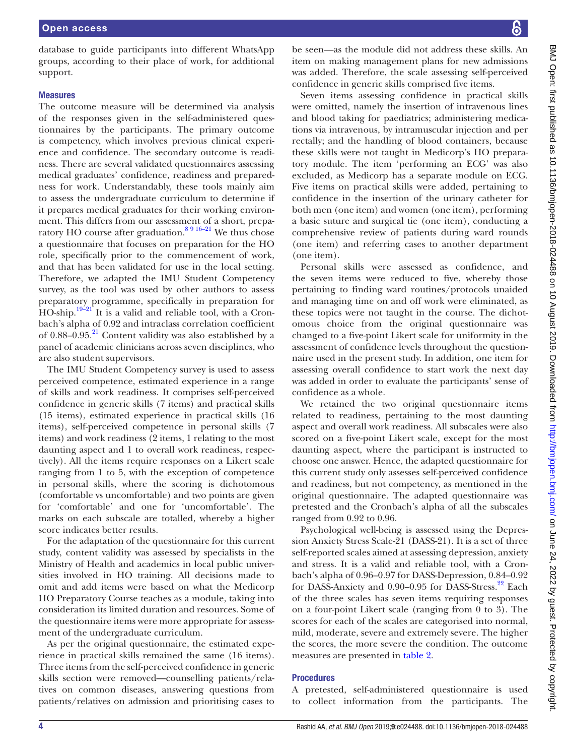database to guide participants into different WhatsApp groups, according to their place of work, for additional support.

#### **Measures**

The outcome measure will be determined via analysis of the responses given in the self-administered questionnaires by the participants. The primary outcome is competency, which involves previous clinical experience and confidence. The secondary outcome is readiness. There are several validated questionnaires assessing medical graduates' confidence, readiness and preparedness for work. Understandably, these tools mainly aim to assess the undergraduate curriculum to determine if it prepares medical graduates for their working environment. This differs from our assessment of a short, preparatory HO course after graduation.<sup>8 9 16–21</sup> We thus chose a questionnaire that focuses on preparation for the HO role, specifically prior to the commencement of work, and that has been validated for use in the local setting. Therefore, we adapted the IMU Student Competency survey, as the tool was used by other authors to assess preparatory programme, specifically in preparation for HO-ship.<sup>19-21</sup> It is a valid and reliable tool, with a Cronbach's alpha of 0.92 and intraclass correlation coefficient of  $0.88-0.95<sup>21</sup>$  Content validity was also established by a panel of academic clinicians across seven disciplines, who are also student supervisors.

The IMU Student Competency survey is used to assess perceived competence, estimated experience in a range of skills and work readiness. It comprises self-perceived confidence in generic skills (7 items) and practical skills (15 items), estimated experience in practical skills (16 items), self-perceived competence in personal skills (7 items) and work readiness (2 items, 1 relating to the most daunting aspect and 1 to overall work readiness, respectively). All the items require responses on a Likert scale ranging from 1 to 5, with the exception of competence in personal skills, where the scoring is dichotomous (comfortable vs uncomfortable) and two points are given for 'comfortable' and one for 'uncomfortable'. The marks on each subscale are totalled, whereby a higher score indicates better results.

For the adaptation of the questionnaire for this current study, content validity was assessed by specialists in the Ministry of Health and academics in local public universities involved in HO training. All decisions made to omit and add items were based on what the Medicorp HO Preparatory Course teaches as a module, taking into consideration its limited duration and resources. Some of the questionnaire items were more appropriate for assessment of the undergraduate curriculum.

As per the original questionnaire, the estimated experience in practical skills remained the same (16 items). Three items from the self-perceived confidence in generic skills section were removed—counselling patients/relatives on common diseases, answering questions from patients/relatives on admission and prioritising cases to

be seen—as the module did not address these skills. An item on making management plans for new admissions was added. Therefore, the scale assessing self-perceived confidence in generic skills comprised five items.

Seven items assessing confidence in practical skills were omitted, namely the insertion of intravenous lines and blood taking for paediatrics; administering medications via intravenous, by intramuscular injection and per rectally; and the handling of blood containers, because these skills were not taught in Medicorp's HO preparatory module. The item 'performing an ECG' was also excluded, as Medicorp has a separate module on ECG. Five items on practical skills were added, pertaining to confidence in the insertion of the urinary catheter for both men (one item) and women (one item), performing a basic suture and surgical tie (one item), conducting a comprehensive review of patients during ward rounds (one item) and referring cases to another department (one item).

Personal skills were assessed as confidence, and the seven items were reduced to five, whereby those pertaining to finding ward routines/protocols unaided and managing time on and off work were eliminated, as these topics were not taught in the course. The dichotomous choice from the original questionnaire was changed to a five-point Likert scale for uniformity in the assessment of confidence levels throughout the questionnaire used in the present study. In addition, one item for assessing overall confidence to start work the next day was added in order to evaluate the participants' sense of confidence as a whole.

We retained the two original questionnaire items related to readiness, pertaining to the most daunting aspect and overall work readiness. All subscales were also scored on a five-point Likert scale, except for the most daunting aspect, where the participant is instructed to choose one answer. Hence, the adapted questionnaire for this current study only assesses self-perceived confidence and readiness, but not competency, as mentioned in the original questionnaire. The adapted questionnaire was pretested and the Cronbach's alpha of all the subscales ranged from 0.92 to 0.96.

Psychological well-being is assessed using the Depression Anxiety Stress Scale-21 (DASS-21). It is a set of three self-reported scales aimed at assessing depression, anxiety and stress. It is a valid and reliable tool, with a Cronbach's alpha of 0.96–0.97 for DASS-Depression, 0.84–0.92 for DASS-Anxiety and  $0.90-0.95$  for DASS-Stress.<sup>22</sup> Each of the three scales has seven items requiring responses on a four-point Likert scale (ranging from 0 to 3). The scores for each of the scales are categorised into normal, mild, moderate, severe and extremely severe. The higher the scores, the more severe the condition. The outcome measures are presented in [table](#page-4-0) 2.

## **Procedures**

A pretested, self-administered questionnaire is used to collect information from the participants. The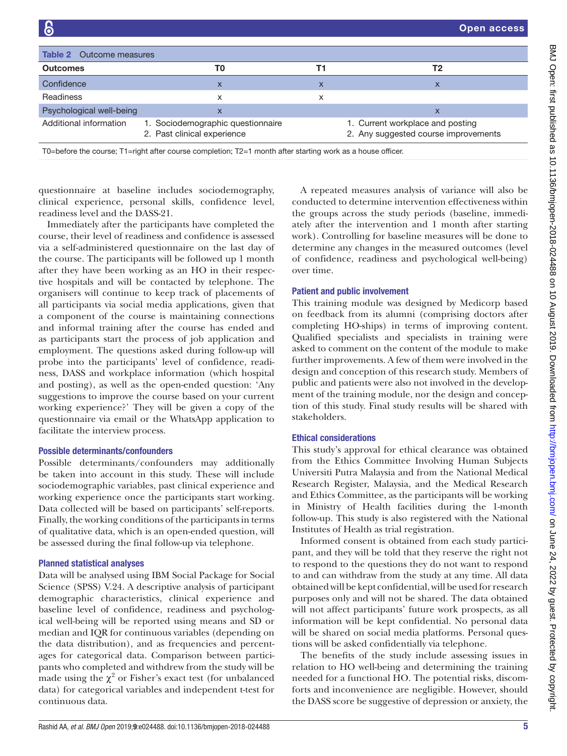<span id="page-4-0"></span>

| 6                           |                                                                                                            |    | <b>Open access</b>                                                       |  |  |
|-----------------------------|------------------------------------------------------------------------------------------------------------|----|--------------------------------------------------------------------------|--|--|
|                             |                                                                                                            |    |                                                                          |  |  |
| Table 2<br>Outcome measures |                                                                                                            |    |                                                                          |  |  |
| <b>Outcomes</b>             | T0                                                                                                         | T1 | Т2                                                                       |  |  |
| Confidence                  | X                                                                                                          | X  | X                                                                        |  |  |
| Readiness                   | X                                                                                                          | x  |                                                                          |  |  |
| Psychological well-being    | X                                                                                                          |    | X                                                                        |  |  |
| Additional information      | 1. Sociodemographic questionnaire<br>2. Past clinical experience                                           |    | 1. Current workplace and posting<br>2. Any suggested course improvements |  |  |
|                             | T0=before the course; T1=right after course completion; T2=1 month after starting work as a house officer. |    |                                                                          |  |  |

questionnaire at baseline includes sociodemography, clinical experience, personal skills, confidence level, readiness level and the DASS-21.

Immediately after the participants have completed the course, their level of readiness and confidence is assessed via a self-administered questionnaire on the last day of the course. The participants will be followed up 1 month after they have been working as an HO in their respective hospitals and will be contacted by telephone. The organisers will continue to keep track of placements of all participants via social media applications, given that a component of the course is maintaining connections and informal training after the course has ended and as participants start the process of job application and employment. The questions asked during follow-up will probe into the participants' level of confidence, readiness, DASS and workplace information (which hospital and posting), as well as the open-ended question: 'Any suggestions to improve the course based on your current working experience?' They will be given a copy of the questionnaire via email or the WhatsApp application to facilitate the interview process.

## Possible determinants/confounders

Possible determinants/confounders may additionally be taken into account in this study. These will include sociodemographic variables, past clinical experience and working experience once the participants start working. Data collected will be based on participants' self-reports. Finally, the working conditions of the participants in terms of qualitative data, which is an open-ended question, will be assessed during the final follow-up via telephone.

### Planned statistical analyses

Data will be analysed using IBM Social Package for Social Science (SPSS) V.24. A descriptive analysis of participant demographic characteristics, clinical experience and baseline level of confidence, readiness and psychological well-being will be reported using means and SD or median and IQR for continuous variables (depending on the data distribution), and as frequencies and percentages for categorical data. Comparison between participants who completed and withdrew from the study will be made using the  $\chi^2$  or Fisher's exact test (for unbalanced data) for categorical variables and independent t-test for continuous data.

A repeated measures analysis of variance will also be conducted to determine intervention effectiveness within the groups across the study periods (baseline, immediately after the intervention and 1 month after starting work). Controlling for baseline measures will be done to determine any changes in the measured outcomes (level of confidence, readiness and psychological well-being) over time.

## Patient and public involvement

This training module was designed by Medicorp based on feedback from its alumni (comprising doctors after completing HO-ships) in terms of improving content. Qualified specialists and specialists in training were asked to comment on the content of the module to make further improvements. A few of them were involved in the design and conception of this research study. Members of public and patients were also not involved in the development of the training module, nor the design and conception of this study. Final study results will be shared with stakeholders.

## Ethical considerations

This study's approval for ethical clearance was obtained from the Ethics Committee Involving Human Subjects Universiti Putra Malaysia and from the National Medical Research Register, Malaysia, and the Medical Research and Ethics Committee, as the participants will be working in Ministry of Health facilities during the 1-month follow-up. This study is also registered with the National Institutes of Health as trial registration.

Informed consent is obtained from each study participant, and they will be told that they reserve the right not to respond to the questions they do not want to respond to and can withdraw from the study at any time. All data obtained will be kept confidential, will be used for research purposes only and will not be shared. The data obtained will not affect participants' future work prospects, as all information will be kept confidential. No personal data will be shared on social media platforms. Personal questions will be asked confidentially via telephone.

The benefits of the study include assessing issues in relation to HO well-being and determining the training needed for a functional HO. The potential risks, discomforts and inconvenience are negligible. However, should the DASS score be suggestive of depression or anxiety, the